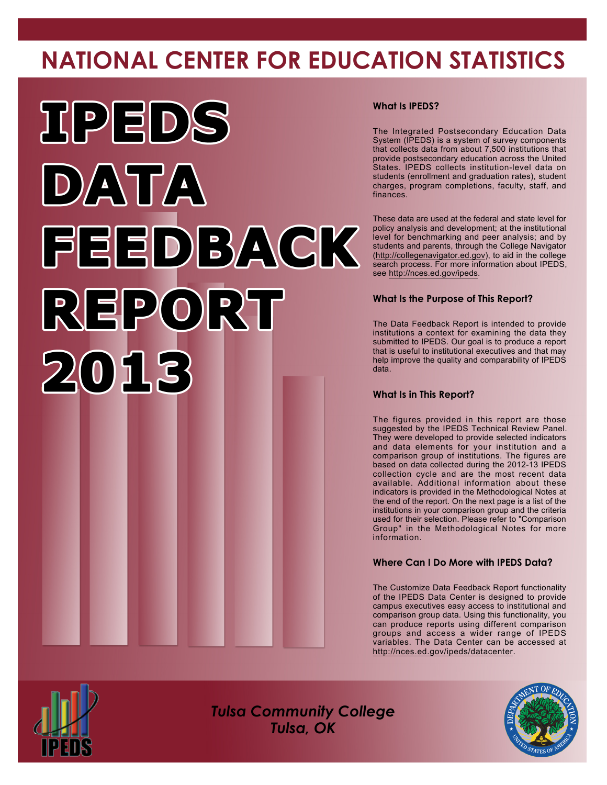# **NATIONAL CENTER FOR EDUCATION STATISTICS**



#### **What Is IPEDS?**

The Integrated Postsecondary Education Data System (IPEDS) is a system of survey components that collects data from about 7,500 institutions that provide postsecondary education across the United States. IPEDS collects institution-level data on students (enrollment and graduation rates), student charges, program completions, faculty, staff, and finances.

These data are used at the federal and state level for policy analysis and development; at the institutional level for benchmarking and peer analysis; and by students and parents, through the College Navigator [\(http://collegenavigator.ed.gov\)](http://collegenavigator.ed.gov), to aid in the college search process. For more information about IPEDS, see <http://nces.ed.gov/ipeds>.

#### **What Is the Purpose of This Report?**

The Data Feedback Report is intended to provide institutions a context for examining the data they submitted to IPEDS. Our goal is to produce a report that is useful to institutional executives and that may help improve the quality and comparability of IPEDS data.

#### **What Is in This Report?**

The figures provided in this report are those suggested by the IPEDS Technical Review Panel. They were developed to provide selected indicators and data elements for your institution and a comparison group of institutions. The figures are based on data collected during the 2012-13 IPEDS collection cycle and are the most recent data available. Additional information about these indicators is provided in the Methodological Notes at the end of the report. On the next page is a list of the institutions in your comparison group and the criteria used for their selection. Please refer to "Comparison Group" in the Methodological Notes for more information.

#### **Where Can I Do More with IPEDS Data?**

The Customize Data Feedback Report functionality of the IPEDS Data Center is designed to provide campus executives easy access to institutional and comparison group data. Using this functionality, you can produce reports using different comparison groups and access a wider range of IPEDS variables. The Data Center can be accessed at <http://nces.ed.gov/ipeds/datacenter>.



*Tulsa Community College Tulsa, OK*

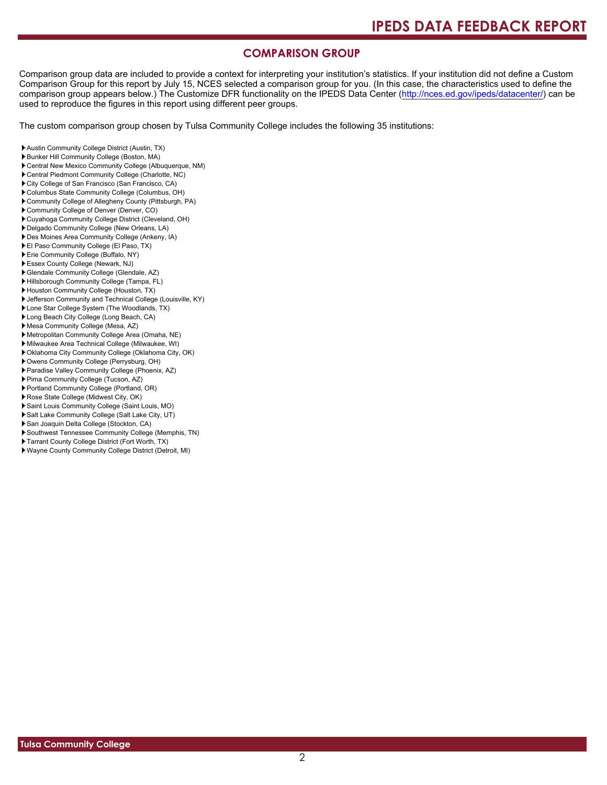#### **COMPARISON GROUP**

Comparison group data are included to provide a context for interpreting your institution's statistics. If your institution did not define a Custom Comparison Group for this report by July 15, NCES selected a comparison group for you. (In this case, the characteristics used to define the comparison group appears below.) The Customize DFR functionality on the IPEDS Data Center [\(http://nces.ed.gov/ipeds/datacenter/\)](http://nces.ed.gov/ipeds/datacenter/) can be used to reproduce the figures in this report using different peer groups.

The custom comparison group chosen by Tulsa Community College includes the following 35 institutions:

- Austin Community College District (Austin, TX)
- Bunker Hill Community College (Boston, MA)
- Central New Mexico Community College (Albuquerque, NM)
- Central Piedmont Community College (Charlotte, NC)
- City College of San Francisco (San Francisco, CA)
- Columbus State Community College (Columbus, OH)
- Community College of Allegheny County (Pittsburgh, PA)
- Community College of Denver (Denver, CO)
- Cuyahoga Community College District (Cleveland, OH) Delgado Community College (New Orleans, LA)
- Des Moines Area Community College (Ankeny, IA)
- El Paso Community College (El Paso, TX)
- Erie Community College (Buffalo, NY)
- Essex County College (Newark, NJ)
- Glendale Community College (Glendale, AZ)
- Hillsborough Community College (Tampa, FL)
- Houston Community College (Houston, TX)
- Jefferson Community and Technical College (Louisville, KY)
- Lone Star College System (The Woodlands, TX)
- Long Beach City College (Long Beach, CA)
- Mesa Community College (Mesa, AZ)
- Metropolitan Community College Area (Omaha, NE)
- Milwaukee Area Technical College (Milwaukee, WI)
- Oklahoma City Community College (Oklahoma City, OK)
- Owens Community College (Perrysburg, OH)
- Paradise Valley Community College (Phoenix, AZ)
- Pima Community College (Tucson, AZ)
- Portland Community College (Portland, OR)
- Rose State College (Midwest City, OK)
- Saint Louis Community College (Saint Louis, MO)
- Salt Lake Community College (Salt Lake City, UT)
- San Joaquin Delta College (Stockton, CA)
- Southwest Tennessee Community College (Memphis, TN)
- Tarrant County College District (Fort Worth, TX)
- Wayne County Community College District (Detroit, MI)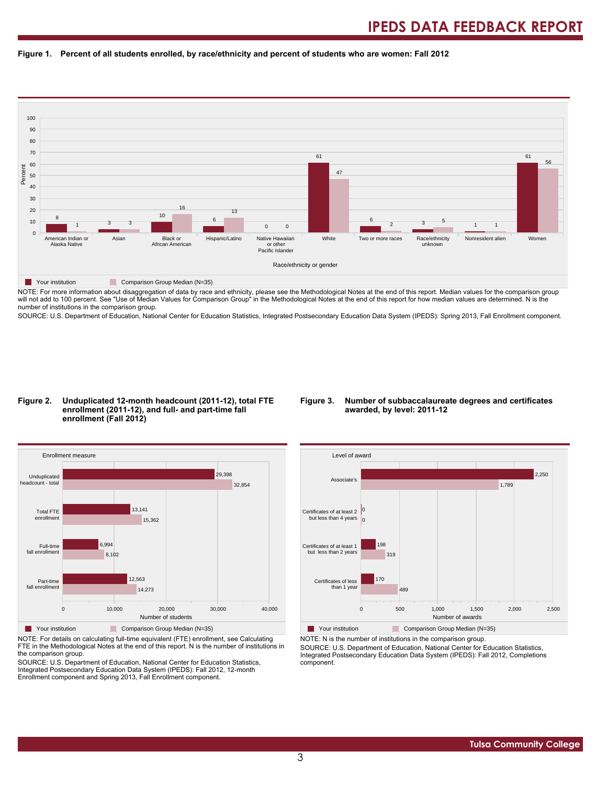#### **Figure 1. Percent of all students enrolled, by race/ethnicity and percent of students who are women: Fall 2012**



NOTE: For more information about disaggregation of data by race and ethnicity, please see the Methodological Notes at the end of this report. Median values for the comparison group will not add to 100 percent. See "Use of Median Values for Comparison Group" in the Methodological Notes at the end of this report for how median values are determined. N is the number of institutions in the comparison group.

SOURCE: U.S. Department of Education, National Center for Education Statistics, Integrated Postsecondary Education Data System (IPEDS): Spring 2013, Fall Enrollment component.

#### **Figure 2. Unduplicated 12-month headcount (2011-12), total FTE enrollment (2011-12), and full- and part-time fall enrollment (Fall 2012)**

#### **Figure 3. Number of subbaccalaureate degrees and certificates awarded, by level: 2011-12**



NOTE: For details on calculating full-time equivalent (FTE) enrollment, see Calculating FTE in the Methodological Notes at the end of this report. N is the number of institutions in the comparison group.

SOURCE: U.S. Department of Education, National Center for Education Statistics, Integrated Postsecondary Education Data System (IPEDS): Fall 2012, 12-month Enrollment component and Spring 2013, Fall Enrollment component.



Your institution Comparison Group Median (N=35) NOTE: N is the number of institutions in the comparison group.

SOURCE: U.S. Department of Education, National Center for Education Statistics, Integrated Postsecondary Education Data System (IPEDS): Fall 2012, Completions component.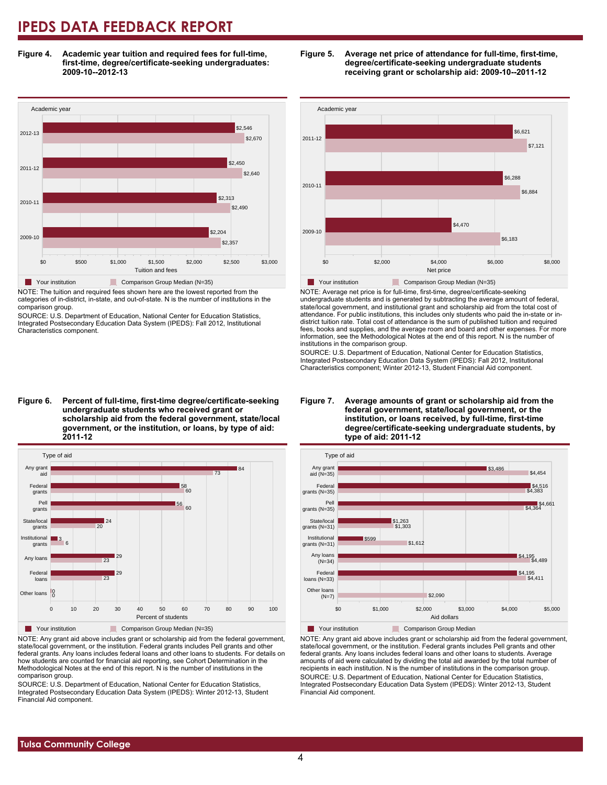**Figure 4. Academic year tuition and required fees for full-time, first-time, degree/certificate-seeking undergraduates: 2009-10--2012-13**



NOTE: The tuition and required fees shown here are the lowest reported from the categories of in-district, in-state, and out-of-state. N is the number of institutions in the comparison group.

SOURCE: U.S. Department of Education, National Center for Education Statistics, Integrated Postsecondary Education Data System (IPEDS): Fall 2012, Institutional Characteristics component.

**Figure 6. Percent of full-time, first-time degree/certificate-seeking undergraduate students who received grant or scholarship aid from the federal government, state/local government, or the institution, or loans, by type of aid: 2011-12**



NOTE: Any grant aid above includes grant or scholarship aid from the federal government, state/local government, or the institution. Federal grants includes Pell grants and other federal grants. Any loans includes federal loans and other loans to students. For details on how students are counted for financial aid reporting, see Cohort Determination in the Methodological Notes at the end of this report. N is the number of institutions in the comparison group.

SOURCE: U.S. Department of Education, National Center for Education Statistics, Integrated Postsecondary Education Data System (IPEDS): Winter 2012-13, Student Financial Aid component.





NOTE: Average net price is for full-time, first-time, degree/certificate-seeking undergraduate students and is generated by subtracting the average amount of federal, state/local government, and institutional grant and scholarship aid from the total cost of attendance. For public institutions, this includes only students who paid the in-state or indistrict tuition rate. Total cost of attendance is the sum of published tuition and required fees, books and supplies, and the average room and board and other expenses. For more information, see the Methodological Notes at the end of this report. N is the number of institutions in the comparison group.

SOURCE: U.S. Department of Education, National Center for Education Statistics, Integrated Postsecondary Education Data System (IPEDS): Fall 2012, Institutional Characteristics component; Winter 2012-13, Student Financial Aid component.





NOTE: Any grant aid above includes grant or scholarship aid from the federal government, state/local government, or the institution. Federal grants includes Pell grants and other federal grants. Any loans includes federal loans and other loans to students. Average amounts of aid were calculated by dividing the total aid awarded by the total number of recipients in each institution. N is the number of institutions in the comparison group. SOURCE: U.S. Department of Education, National Center for Education Statistics, Integrated Postsecondary Education Data System (IPEDS): Winter 2012-13, Student Financial Aid component.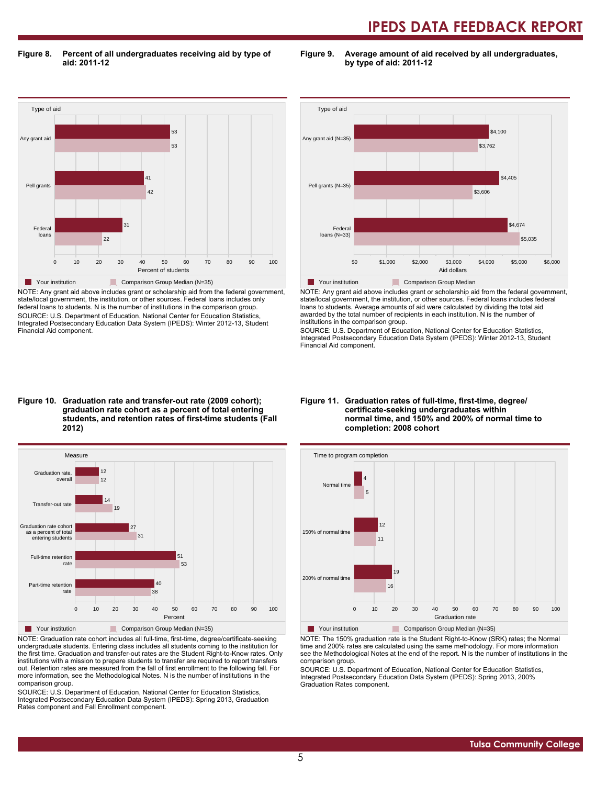**Figure 8. Percent of all undergraduates receiving aid by type of aid: 2011-12**

**Figure 9. Average amount of aid received by all undergraduates, by type of aid: 2011-12**



NOTE: Any grant aid above includes grant or scholarship aid from the federal government, state/local government, the institution, or other sources. Federal loans includes only federal loans to students. N is the number of institutions in the comparison group. SOURCE: U.S. Department of Education, National Center for Education Statistics, Integrated Postsecondary Education Data System (IPEDS): Winter 2012-13, Student Financial Aid component.



NOTE: Any grant aid above includes grant or scholarship aid from the federal government, state/local government, the institution, or other sources. Federal loans includes federal loans to students. Average amounts of aid were calculated by dividing the total aid awarded by the total number of recipients in each institution. N is the number of institutions in the comparison group.

SOURCE: U.S. Department of Education, National Center for Education Statistics, Integrated Postsecondary Education Data System (IPEDS): Winter 2012-13, Student Financial Aid component.

#### **Figure 10. Graduation rate and transfer-out rate (2009 cohort); graduation rate cohort as a percent of total entering students, and retention rates of first-time students (Fall 2012)**



NOTE: Graduation rate cohort includes all full-time, first-time, degree/certificate-seeking undergraduate students. Entering class includes all students coming to the institution for the first time. Graduation and transfer-out rates are the Student Right-to-Know rates. Only institutions with a mission to prepare students to transfer are required to report transfers out. Retention rates are measured from the fall of first enrollment to the following fall. For more information, see the Methodological Notes. N is the number of institutions in the comparison group.

SOURCE: U.S. Department of Education, National Center for Education Statistics, Integrated Postsecondary Education Data System (IPEDS): Spring 2013, Graduation Rates component and Fall Enrollment component.

#### **Figure 11. Graduation rates of full-time, first-time, degree/ certificate-seeking undergraduates within normal time, and 150% and 200% of normal time to completion: 2008 cohort**



NOTE: The 150% graduation rate is the Student Right-to-Know (SRK) rates; the Normal time and 200% rates are calculated using the same methodology. For more information see the Methodological Notes at the end of the report. N is the number of institutions in the

comparison group. SOURCE: U.S. Department of Education, National Center for Education Statistics,

Integrated Postsecondary Education Data System (IPEDS): Spring 2013, 200% Graduation Rates component.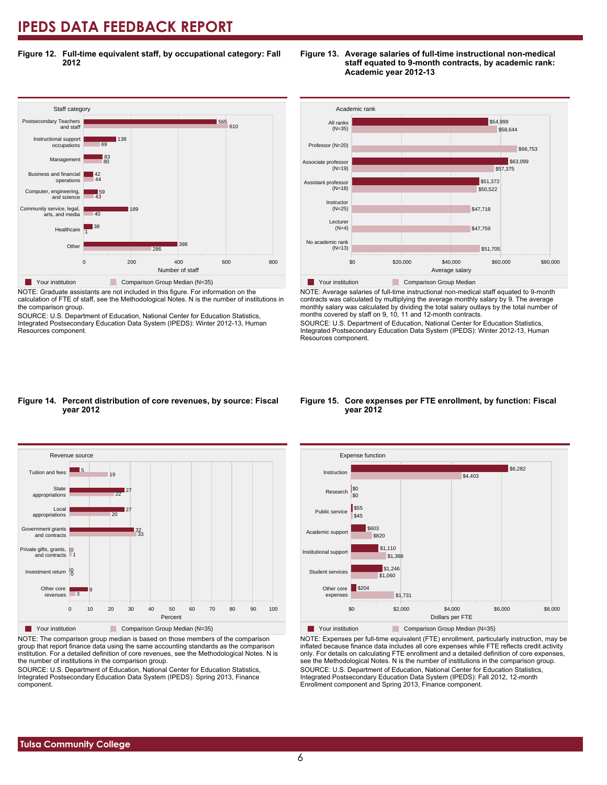**Figure 12. Full-time equivalent staff, by occupational category: Fall 2012**



NOTE: Graduate assistants are not included in this figure. For information on the calculation of FTE of staff, see the Methodological Notes. N is the number of institutions in the comparison group.

SOURCE: U.S. Department of Education, National Center for Education Statistics, Integrated Postsecondary Education Data System (IPEDS): Winter 2012-13, Human Resources component.





NOTE: Average salaries of full-time instructional non-medical staff equated to 9-month contracts was calculated by multiplying the average monthly salary by 9. The average monthly salary was calculated by dividing the total salary outlays by the total number of months covered by staff on 9, 10, 11 and 12-month contracts.

SOURCE: U.S. Department of Education, National Center for Education Statistics, Integrated Postsecondary Education Data System (IPEDS): Winter 2012-13, Human Resources component.

#### **Figure 14. Percent distribution of core revenues, by source: Fiscal year 2012**



NOTE: The comparison group median is based on those members of the comparison group that report finance data using the same accounting standards as the comparison institution. For a detailed definition of core revenues, see the Methodological Notes. N is the number of institutions in the comparison group.

SOURCE: U.S. Department of Education, National Center for Education Statistics, Integrated Postsecondary Education Data System (IPEDS): Spring 2013, Finance component.

#### **Figure 15. Core expenses per FTE enrollment, by function: Fiscal year 2012**



NOTE: Expenses per full-time equivalent (FTE) enrollment, particularly instruction, may be inflated because finance data includes all core expenses while FTE reflects credit activity only. For details on calculating FTE enrollment and a detailed definition of core expenses, see the Methodological Notes. N is the number of institutions in the comparison group. SOURCE: U.S. Department of Education, National Center for Education Statistics, Integrated Postsecondary Education Data System (IPEDS): Fall 2012, 12-month Enrollment component and Spring 2013, Finance component.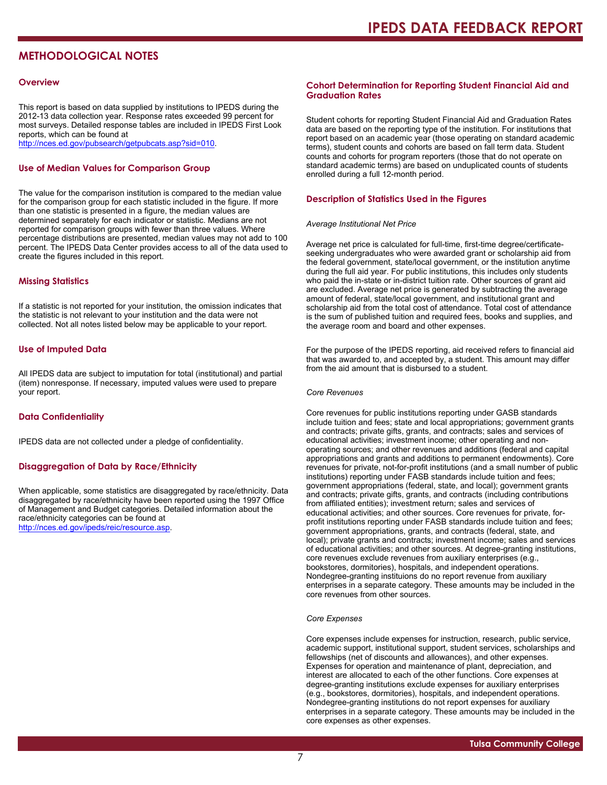### **METHODOLOGICAL NOTES**

#### **Overview**

This report is based on data supplied by institutions to IPEDS during the 2012-13 data collection year. Response rates exceeded 99 percent for most surveys. Detailed response tables are included in IPEDS First Look reports, which can be found at [http://nces.ed.gov/pubsearch/getpubcats.asp?sid=010.](http://nces.ed.gov/pubsearch/getpubcats.asp?sid=010)

#### **Use of Median Values for Comparison Group**

The value for the comparison institution is compared to the median value for the comparison group for each statistic included in the figure. If more than one statistic is presented in a figure, the median values are determined separately for each indicator or statistic. Medians are not reported for comparison groups with fewer than three values. Where percentage distributions are presented, median values may not add to 100 percent. The IPEDS Data Center provides access to all of the data used to create the figures included in this report.

#### **Missing Statistics**

If a statistic is not reported for your institution, the omission indicates that the statistic is not relevant to your institution and the data were not collected. Not all notes listed below may be applicable to your report.

#### **Use of Imputed Data**

All IPEDS data are subject to imputation for total (institutional) and partial (item) nonresponse. If necessary, imputed values were used to prepare your report.

#### **Data Confidentiality**

IPEDS data are not collected under a pledge of confidentiality.

#### **Disaggregation of Data by Race/Ethnicity**

When applicable, some statistics are disaggregated by race/ethnicity. Data disaggregated by race/ethnicity have been reported using the 1997 Office of Management and Budget categories. Detailed information about the race/ethnicity categories can be found at <http://nces.ed.gov/ipeds/reic/resource.asp>.

#### **Cohort Determination for Reporting Student Financial Aid and Graduation Rates**

Student cohorts for reporting Student Financial Aid and Graduation Rates data are based on the reporting type of the institution. For institutions that report based on an academic year (those operating on standard academic terms), student counts and cohorts are based on fall term data. Student counts and cohorts for program reporters (those that do not operate on standard academic terms) are based on unduplicated counts of students enrolled during a full 12-month period.

#### **Description of Statistics Used in the Figures**

#### *Average Institutional Net Price*

Average net price is calculated for full-time, first-time degree/certificateseeking undergraduates who were awarded grant or scholarship aid from the federal government, state/local government, or the institution anytime during the full aid year. For public institutions, this includes only students who paid the in-state or in-district tuition rate. Other sources of grant aid are excluded. Average net price is generated by subtracting the average amount of federal, state/local government, and institutional grant and scholarship aid from the total cost of attendance. Total cost of attendance is the sum of published tuition and required fees, books and supplies, and the average room and board and other expenses.

For the purpose of the IPEDS reporting, aid received refers to financial aid that was awarded to, and accepted by, a student. This amount may differ from the aid amount that is disbursed to a student.

#### *Core Revenues*

Core revenues for public institutions reporting under GASB standards include tuition and fees; state and local appropriations; government grants and contracts; private gifts, grants, and contracts; sales and services of educational activities; investment income; other operating and nonoperating sources; and other revenues and additions (federal and capital appropriations and grants and additions to permanent endowments). Core revenues for private, not-for-profit institutions (and a small number of public institutions) reporting under FASB standards include tuition and fees; government appropriations (federal, state, and local); government grants and contracts; private gifts, grants, and contracts (including contributions from affiliated entities); investment return; sales and services of educational activities; and other sources. Core revenues for private, forprofit institutions reporting under FASB standards include tuition and fees; government appropriations, grants, and contracts (federal, state, and local); private grants and contracts; investment income; sales and services of educational activities; and other sources. At degree-granting institutions, core revenues exclude revenues from auxiliary enterprises (e.g., bookstores, dormitories), hospitals, and independent operations. Nondegree-granting instituions do no report revenue from auxiliary enterprises in a separate category. These amounts may be included in the core revenues from other sources.

#### *Core Expenses*

Core expenses include expenses for instruction, research, public service, academic support, institutional support, student services, scholarships and fellowships (net of discounts and allowances), and other expenses. Expenses for operation and maintenance of plant, depreciation, and interest are allocated to each of the other functions. Core expenses at degree-granting institutions exclude expenses for auxiliary enterprises (e.g., bookstores, dormitories), hospitals, and independent operations. Nondegree-granting institutions do not report expenses for auxiliary enterprises in a separate category. These amounts may be included in the core expenses as other expenses.